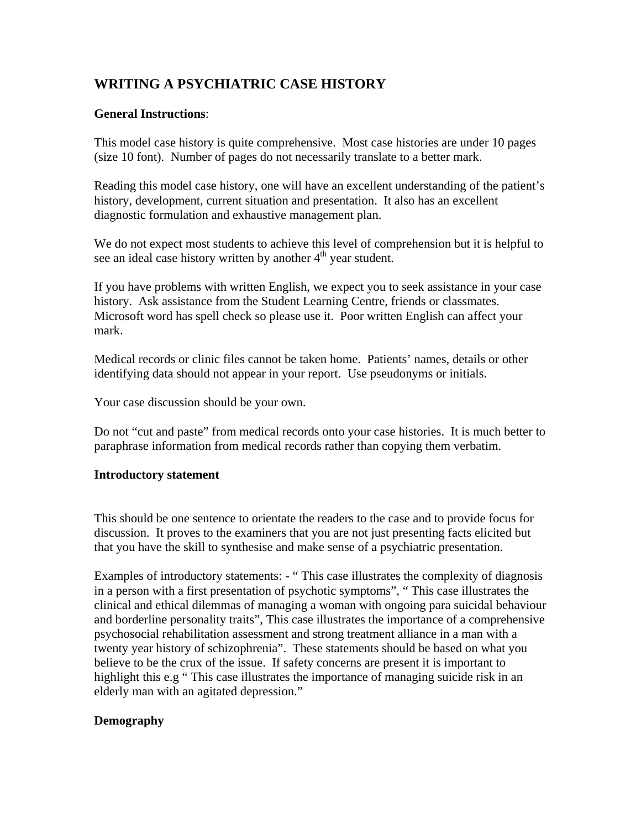# **WRITING A PSYCHIATRIC CASE HISTORY**

#### **General Instructions**:

This model case history is quite comprehensive. Most case histories are under 10 pages (size 10 font). Number of pages do not necessarily translate to a better mark.

Reading this model case history, one will have an excellent understanding of the patient's history, development, current situation and presentation. It also has an excellent diagnostic formulation and exhaustive management plan.

We do not expect most students to achieve this level of comprehension but it is helpful to see an ideal case history written by another  $4<sup>th</sup>$  year student.

If you have problems with written English, we expect you to seek assistance in your case history. Ask assistance from the Student Learning Centre, friends or classmates. Microsoft word has spell check so please use it. Poor written English can affect your mark.

Medical records or clinic files cannot be taken home. Patients' names, details or other identifying data should not appear in your report. Use pseudonyms or initials.

Your case discussion should be your own.

Do not "cut and paste" from medical records onto your case histories. It is much better to paraphrase information from medical records rather than copying them verbatim.

#### **Introductory statement**

This should be one sentence to orientate the readers to the case and to provide focus for discussion. It proves to the examiners that you are not just presenting facts elicited but that you have the skill to synthesise and make sense of a psychiatric presentation.

Examples of introductory statements: - " This case illustrates the complexity of diagnosis in a person with a first presentation of psychotic symptoms", " This case illustrates the clinical and ethical dilemmas of managing a woman with ongoing para suicidal behaviour and borderline personality traits", This case illustrates the importance of a comprehensive psychosocial rehabilitation assessment and strong treatment alliance in a man with a twenty year history of schizophrenia". These statements should be based on what you believe to be the crux of the issue. If safety concerns are present it is important to highlight this e.g " This case illustrates the importance of managing suicide risk in an elderly man with an agitated depression."

## **Demography**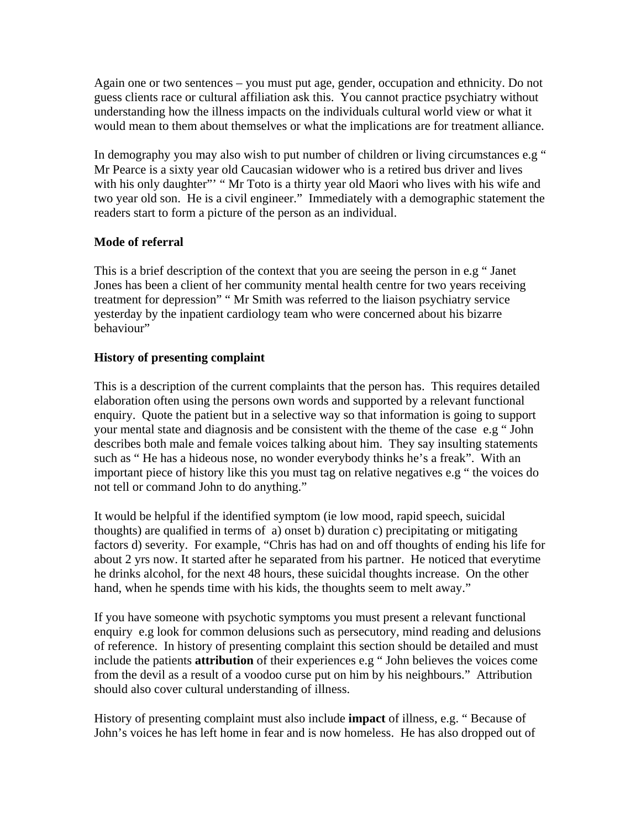Again one or two sentences – you must put age, gender, occupation and ethnicity. Do not guess clients race or cultural affiliation ask this. You cannot practice psychiatry without understanding how the illness impacts on the individuals cultural world view or what it would mean to them about themselves or what the implications are for treatment alliance.

In demography you may also wish to put number of children or living circumstances e.g " Mr Pearce is a sixty year old Caucasian widower who is a retired bus driver and lives with his only daughter"" " Mr Toto is a thirty year old Maori who lives with his wife and two year old son. He is a civil engineer." Immediately with a demographic statement the readers start to form a picture of the person as an individual.

# **Mode of referral**

This is a brief description of the context that you are seeing the person in e.g " Janet Jones has been a client of her community mental health centre for two years receiving treatment for depression" " Mr Smith was referred to the liaison psychiatry service yesterday by the inpatient cardiology team who were concerned about his bizarre behaviour"

# **History of presenting complaint**

This is a description of the current complaints that the person has. This requires detailed elaboration often using the persons own words and supported by a relevant functional enquiry. Quote the patient but in a selective way so that information is going to support your mental state and diagnosis and be consistent with the theme of the case e.g " John describes both male and female voices talking about him. They say insulting statements such as " He has a hideous nose, no wonder everybody thinks he's a freak". With an important piece of history like this you must tag on relative negatives e.g " the voices do not tell or command John to do anything."

It would be helpful if the identified symptom (ie low mood, rapid speech, suicidal thoughts) are qualified in terms of a) onset b) duration c) precipitating or mitigating factors d) severity. For example, "Chris has had on and off thoughts of ending his life for about 2 yrs now. It started after he separated from his partner. He noticed that everytime he drinks alcohol, for the next 48 hours, these suicidal thoughts increase. On the other hand, when he spends time with his kids, the thoughts seem to melt away."

If you have someone with psychotic symptoms you must present a relevant functional enquiry e.g look for common delusions such as persecutory, mind reading and delusions of reference. In history of presenting complaint this section should be detailed and must include the patients **attribution** of their experiences e.g " John believes the voices come from the devil as a result of a voodoo curse put on him by his neighbours." Attribution should also cover cultural understanding of illness.

History of presenting complaint must also include **impact** of illness, e.g. " Because of John's voices he has left home in fear and is now homeless. He has also dropped out of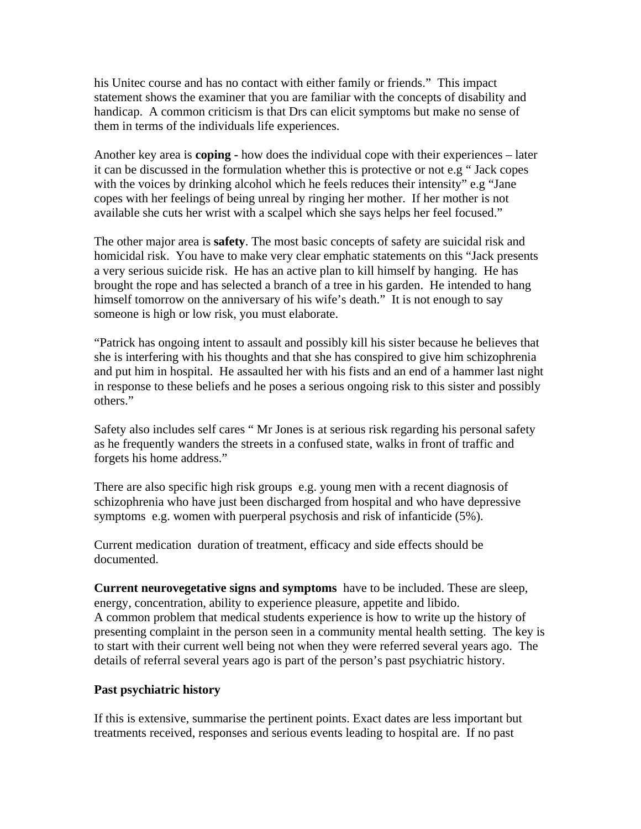his Unitec course and has no contact with either family or friends." This impact statement shows the examiner that you are familiar with the concepts of disability and handicap. A common criticism is that Drs can elicit symptoms but make no sense of them in terms of the individuals life experiences.

Another key area is **coping -** how does the individual cope with their experiences – later it can be discussed in the formulation whether this is protective or not e.g " Jack copes with the voices by drinking alcohol which he feels reduces their intensity" e.g "Jane copes with her feelings of being unreal by ringing her mother. If her mother is not available she cuts her wrist with a scalpel which she says helps her feel focused."

The other major area is **safety**. The most basic concepts of safety are suicidal risk and homicidal risk. You have to make very clear emphatic statements on this "Jack presents a very serious suicide risk. He has an active plan to kill himself by hanging. He has brought the rope and has selected a branch of a tree in his garden. He intended to hang himself tomorrow on the anniversary of his wife's death." It is not enough to say someone is high or low risk, you must elaborate.

"Patrick has ongoing intent to assault and possibly kill his sister because he believes that she is interfering with his thoughts and that she has conspired to give him schizophrenia and put him in hospital. He assaulted her with his fists and an end of a hammer last night in response to these beliefs and he poses a serious ongoing risk to this sister and possibly others."

Safety also includes self cares " Mr Jones is at serious risk regarding his personal safety as he frequently wanders the streets in a confused state, walks in front of traffic and forgets his home address."

There are also specific high risk groups e.g. young men with a recent diagnosis of schizophrenia who have just been discharged from hospital and who have depressive symptoms e.g. women with puerperal psychosis and risk of infanticide (5%).

Current medication duration of treatment, efficacy and side effects should be documented.

**Current neurovegetative signs and symptoms** have to be included. These are sleep, energy, concentration, ability to experience pleasure, appetite and libido. A common problem that medical students experience is how to write up the history of presenting complaint in the person seen in a community mental health setting. The key is to start with their current well being not when they were referred several years ago. The details of referral several years ago is part of the person's past psychiatric history.

#### **Past psychiatric history**

If this is extensive, summarise the pertinent points. Exact dates are less important but treatments received, responses and serious events leading to hospital are. If no past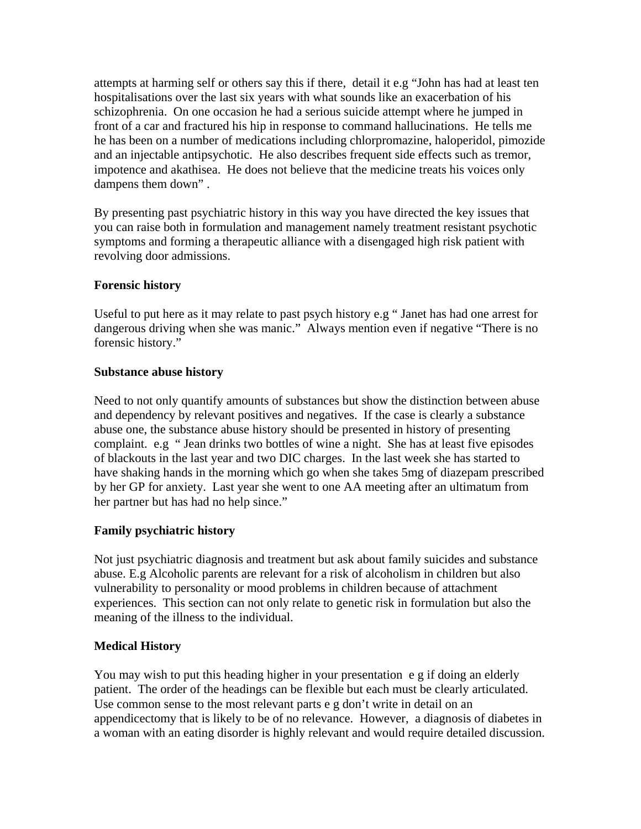attempts at harming self or others say this if there, detail it e.g "John has had at least ten hospitalisations over the last six years with what sounds like an exacerbation of his schizophrenia. On one occasion he had a serious suicide attempt where he jumped in front of a car and fractured his hip in response to command hallucinations. He tells me he has been on a number of medications including chlorpromazine, haloperidol, pimozide and an injectable antipsychotic. He also describes frequent side effects such as tremor, impotence and akathisea. He does not believe that the medicine treats his voices only dampens them down" .

By presenting past psychiatric history in this way you have directed the key issues that you can raise both in formulation and management namely treatment resistant psychotic symptoms and forming a therapeutic alliance with a disengaged high risk patient with revolving door admissions.

#### **Forensic history**

Useful to put here as it may relate to past psych history e.g " Janet has had one arrest for dangerous driving when she was manic." Always mention even if negative "There is no forensic history."

#### **Substance abuse history**

Need to not only quantify amounts of substances but show the distinction between abuse and dependency by relevant positives and negatives. If the case is clearly a substance abuse one, the substance abuse history should be presented in history of presenting complaint. e.g " Jean drinks two bottles of wine a night. She has at least five episodes of blackouts in the last year and two DIC charges. In the last week she has started to have shaking hands in the morning which go when she takes 5mg of diazepam prescribed by her GP for anxiety. Last year she went to one AA meeting after an ultimatum from her partner but has had no help since."

## **Family psychiatric history**

Not just psychiatric diagnosis and treatment but ask about family suicides and substance abuse. E.g Alcoholic parents are relevant for a risk of alcoholism in children but also vulnerability to personality or mood problems in children because of attachment experiences. This section can not only relate to genetic risk in formulation but also the meaning of the illness to the individual.

## **Medical History**

You may wish to put this heading higher in your presentation e g if doing an elderly patient. The order of the headings can be flexible but each must be clearly articulated. Use common sense to the most relevant parts e g don't write in detail on an appendicectomy that is likely to be of no relevance. However, a diagnosis of diabetes in a woman with an eating disorder is highly relevant and would require detailed discussion.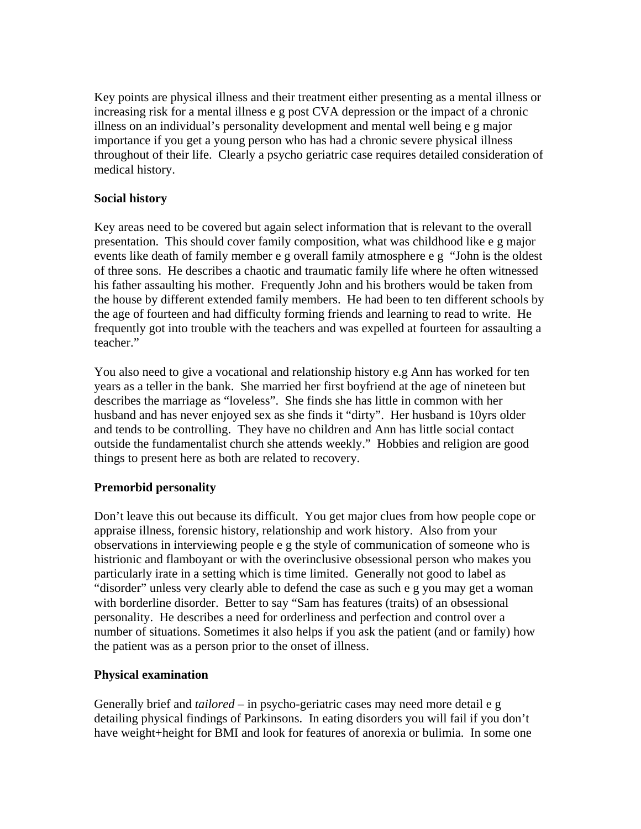Key points are physical illness and their treatment either presenting as a mental illness or increasing risk for a mental illness e g post CVA depression or the impact of a chronic illness on an individual's personality development and mental well being e g major importance if you get a young person who has had a chronic severe physical illness throughout of their life. Clearly a psycho geriatric case requires detailed consideration of medical history.

#### **Social history**

Key areas need to be covered but again select information that is relevant to the overall presentation. This should cover family composition, what was childhood like e g major events like death of family member e g overall family atmosphere e g "John is the oldest of three sons. He describes a chaotic and traumatic family life where he often witnessed his father assaulting his mother. Frequently John and his brothers would be taken from the house by different extended family members. He had been to ten different schools by the age of fourteen and had difficulty forming friends and learning to read to write. He frequently got into trouble with the teachers and was expelled at fourteen for assaulting a teacher."

You also need to give a vocational and relationship history e.g Ann has worked for ten years as a teller in the bank. She married her first boyfriend at the age of nineteen but describes the marriage as "loveless". She finds she has little in common with her husband and has never enjoyed sex as she finds it "dirty". Her husband is 10yrs older and tends to be controlling. They have no children and Ann has little social contact outside the fundamentalist church she attends weekly." Hobbies and religion are good things to present here as both are related to recovery.

## **Premorbid personality**

Don't leave this out because its difficult. You get major clues from how people cope or appraise illness, forensic history, relationship and work history. Also from your observations in interviewing people e g the style of communication of someone who is histrionic and flamboyant or with the overinclusive obsessional person who makes you particularly irate in a setting which is time limited. Generally not good to label as "disorder" unless very clearly able to defend the case as such e g you may get a woman with borderline disorder. Better to say "Sam has features (traits) of an obsessional personality. He describes a need for orderliness and perfection and control over a number of situations. Sometimes it also helps if you ask the patient (and or family) how the patient was as a person prior to the onset of illness.

#### **Physical examination**

Generally brief and *tailored* – in psycho-geriatric cases may need more detail e g detailing physical findings of Parkinsons. In eating disorders you will fail if you don't have weight+height for BMI and look for features of anorexia or bulimia. In some one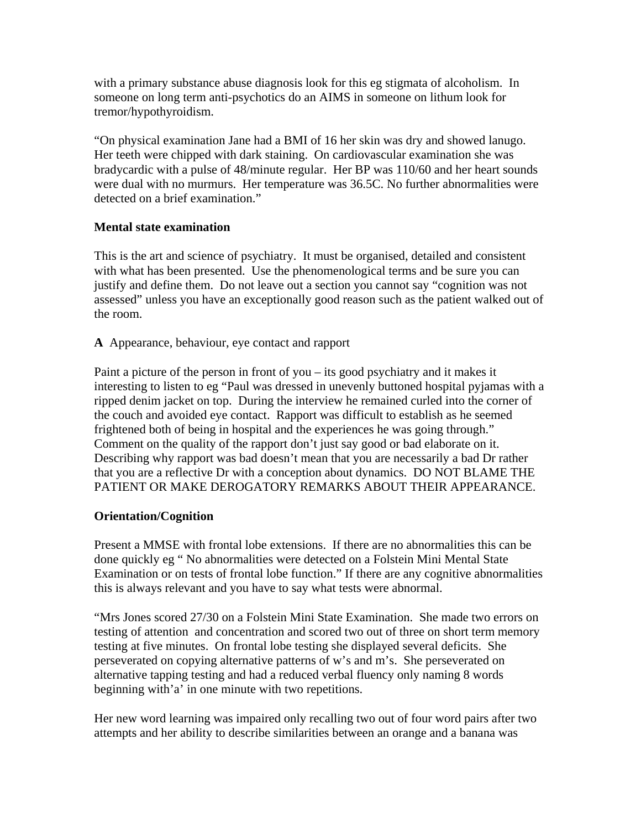with a primary substance abuse diagnosis look for this eg stigmata of alcoholism. In someone on long term anti-psychotics do an AIMS in someone on lithum look for tremor/hypothyroidism.

"On physical examination Jane had a BMI of 16 her skin was dry and showed lanugo. Her teeth were chipped with dark staining. On cardiovascular examination she was bradycardic with a pulse of 48/minute regular. Her BP was 110/60 and her heart sounds were dual with no murmurs. Her temperature was 36.5C. No further abnormalities were detected on a brief examination."

## **Mental state examination**

This is the art and science of psychiatry. It must be organised, detailed and consistent with what has been presented. Use the phenomenological terms and be sure you can justify and define them. Do not leave out a section you cannot say "cognition was not assessed" unless you have an exceptionally good reason such as the patient walked out of the room.

**A** Appearance, behaviour, eye contact and rapport

Paint a picture of the person in front of you – its good psychiatry and it makes it interesting to listen to eg "Paul was dressed in unevenly buttoned hospital pyjamas with a ripped denim jacket on top. During the interview he remained curled into the corner of the couch and avoided eye contact. Rapport was difficult to establish as he seemed frightened both of being in hospital and the experiences he was going through." Comment on the quality of the rapport don't just say good or bad elaborate on it. Describing why rapport was bad doesn't mean that you are necessarily a bad Dr rather that you are a reflective Dr with a conception about dynamics. DO NOT BLAME THE PATIENT OR MAKE DEROGATORY REMARKS ABOUT THEIR APPEARANCE.

# **Orientation/Cognition**

Present a MMSE with frontal lobe extensions. If there are no abnormalities this can be done quickly eg " No abnormalities were detected on a Folstein Mini Mental State Examination or on tests of frontal lobe function." If there are any cognitive abnormalities this is always relevant and you have to say what tests were abnormal.

"Mrs Jones scored 27/30 on a Folstein Mini State Examination. She made two errors on testing of attention and concentration and scored two out of three on short term memory testing at five minutes. On frontal lobe testing she displayed several deficits. She perseverated on copying alternative patterns of w's and m's. She perseverated on alternative tapping testing and had a reduced verbal fluency only naming 8 words beginning with'a' in one minute with two repetitions.

Her new word learning was impaired only recalling two out of four word pairs after two attempts and her ability to describe similarities between an orange and a banana was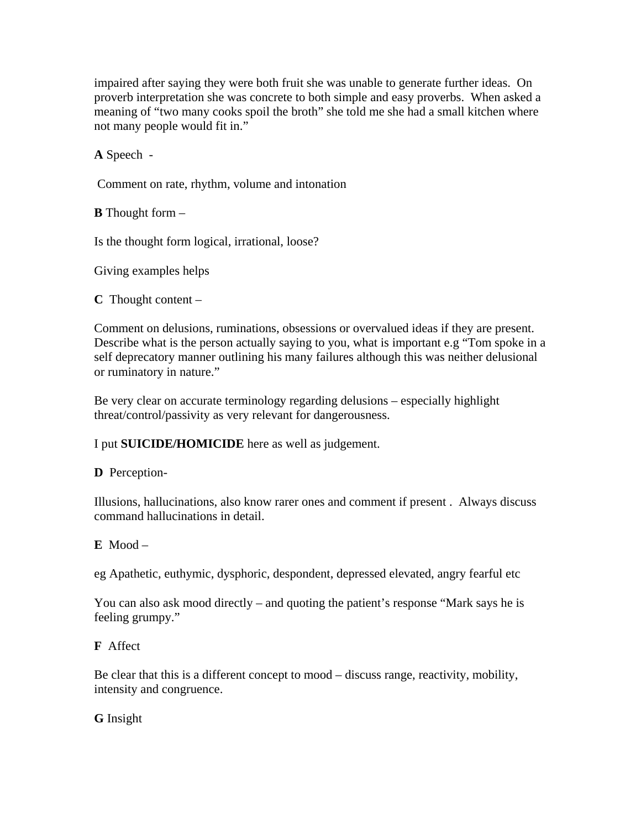impaired after saying they were both fruit she was unable to generate further ideas. On proverb interpretation she was concrete to both simple and easy proverbs. When asked a meaning of "two many cooks spoil the broth" she told me she had a small kitchen where not many people would fit in."

**A** Speech -

Comment on rate, rhythm, volume and intonation

**B** Thought form –

Is the thought form logical, irrational, loose?

Giving examples helps

**C** Thought content –

Comment on delusions, ruminations, obsessions or overvalued ideas if they are present. Describe what is the person actually saying to you, what is important e.g "Tom spoke in a self deprecatory manner outlining his many failures although this was neither delusional or ruminatory in nature."

Be very clear on accurate terminology regarding delusions – especially highlight threat/control/passivity as very relevant for dangerousness.

I put **SUICIDE/HOMICIDE** here as well as judgement.

**D** Perception-

Illusions, hallucinations, also know rarer ones and comment if present . Always discuss command hallucinations in detail.

**E** Mood –

eg Apathetic, euthymic, dysphoric, despondent, depressed elevated, angry fearful etc

You can also ask mood directly – and quoting the patient's response "Mark says he is feeling grumpy."

## **F** Affect

Be clear that this is a different concept to mood – discuss range, reactivity, mobility, intensity and congruence.

**G** Insight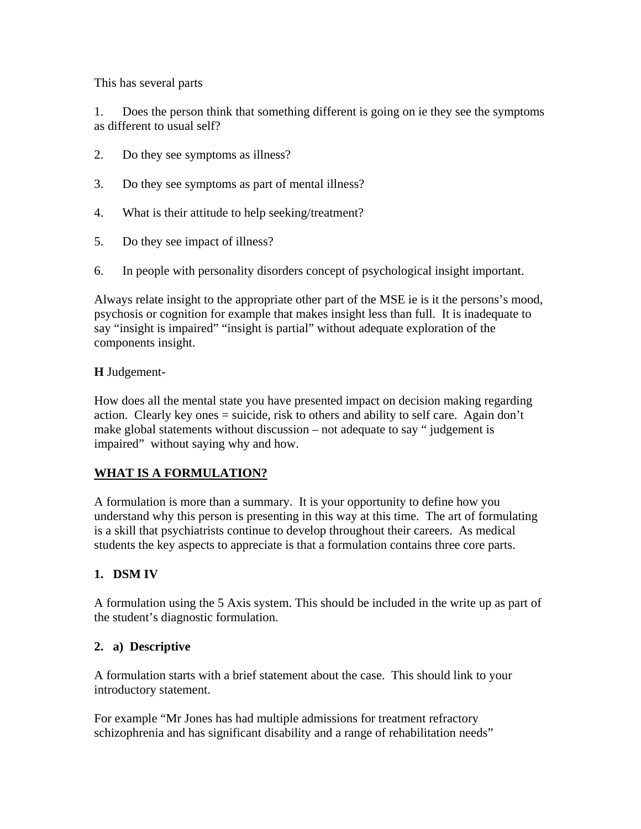This has several parts

1. Does the person think that something different is going on ie they see the symptoms as different to usual self?

- 2. Do they see symptoms as illness?
- 3. Do they see symptoms as part of mental illness?
- 4. What is their attitude to help seeking/treatment?
- 5. Do they see impact of illness?
- 6. In people with personality disorders concept of psychological insight important.

Always relate insight to the appropriate other part of the MSE ie is it the persons's mood, psychosis or cognition for example that makes insight less than full. It is inadequate to say "insight is impaired" "insight is partial" without adequate exploration of the components insight.

## **H** Judgement-

How does all the mental state you have presented impact on decision making regarding action. Clearly key ones = suicide, risk to others and ability to self care. Again don't make global statements without discussion – not adequate to say " judgement is impaired" without saying why and how.

## **WHAT IS A FORMULATION?**

A formulation is more than a summary. It is your opportunity to define how you understand why this person is presenting in this way at this time. The art of formulating is a skill that psychiatrists continue to develop throughout their careers. As medical students the key aspects to appreciate is that a formulation contains three core parts.

## **1. DSM IV**

A formulation using the 5 Axis system. This should be included in the write up as part of the student's diagnostic formulation.

## **2. a) Descriptive**

A formulation starts with a brief statement about the case. This should link to your introductory statement.

For example "Mr Jones has had multiple admissions for treatment refractory schizophrenia and has significant disability and a range of rehabilitation needs"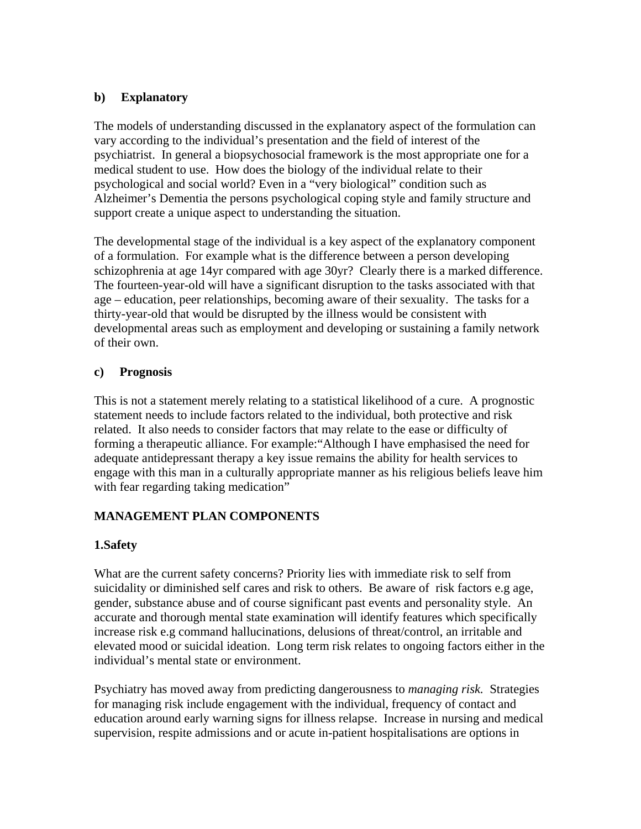## **b) Explanatory**

The models of understanding discussed in the explanatory aspect of the formulation can vary according to the individual's presentation and the field of interest of the psychiatrist. In general a biopsychosocial framework is the most appropriate one for a medical student to use. How does the biology of the individual relate to their psychological and social world? Even in a "very biological" condition such as Alzheimer's Dementia the persons psychological coping style and family structure and support create a unique aspect to understanding the situation.

The developmental stage of the individual is a key aspect of the explanatory component of a formulation. For example what is the difference between a person developing schizophrenia at age 14yr compared with age 30yr? Clearly there is a marked difference. The fourteen-year-old will have a significant disruption to the tasks associated with that age – education, peer relationships, becoming aware of their sexuality. The tasks for a thirty-year-old that would be disrupted by the illness would be consistent with developmental areas such as employment and developing or sustaining a family network of their own.

## **c) Prognosis**

This is not a statement merely relating to a statistical likelihood of a cure. A prognostic statement needs to include factors related to the individual, both protective and risk related. It also needs to consider factors that may relate to the ease or difficulty of forming a therapeutic alliance. For example:"Although I have emphasised the need for adequate antidepressant therapy a key issue remains the ability for health services to engage with this man in a culturally appropriate manner as his religious beliefs leave him with fear regarding taking medication"

# **MANAGEMENT PLAN COMPONENTS**

# **1.Safety**

What are the current safety concerns? Priority lies with immediate risk to self from suicidality or diminished self cares and risk to others. Be aware of risk factors e.g age, gender, substance abuse and of course significant past events and personality style. An accurate and thorough mental state examination will identify features which specifically increase risk e.g command hallucinations, delusions of threat/control, an irritable and elevated mood or suicidal ideation. Long term risk relates to ongoing factors either in the individual's mental state or environment.

Psychiatry has moved away from predicting dangerousness to *managing risk.* Strategies for managing risk include engagement with the individual, frequency of contact and education around early warning signs for illness relapse. Increase in nursing and medical supervision, respite admissions and or acute in-patient hospitalisations are options in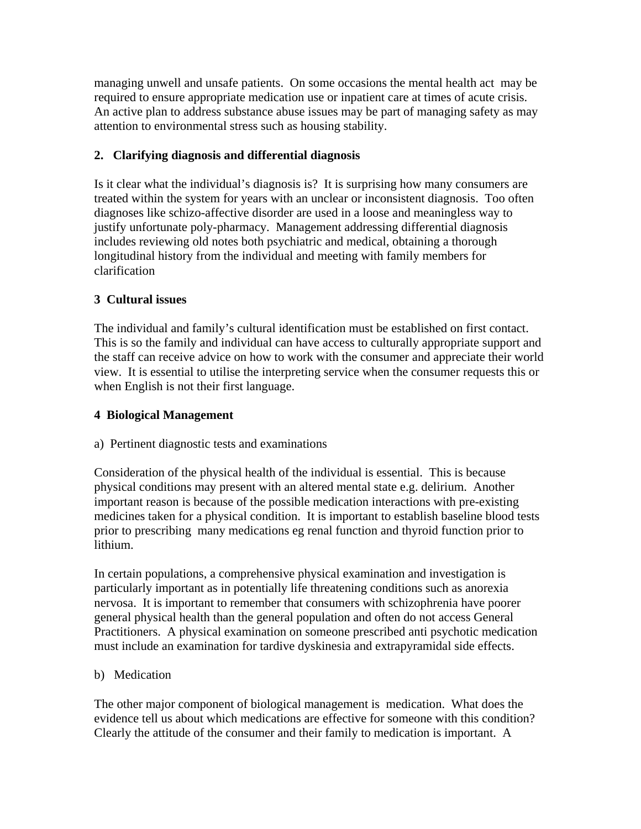managing unwell and unsafe patients. On some occasions the mental health act may be required to ensure appropriate medication use or inpatient care at times of acute crisis. An active plan to address substance abuse issues may be part of managing safety as may attention to environmental stress such as housing stability.

# **2. Clarifying diagnosis and differential diagnosis**

Is it clear what the individual's diagnosis is? It is surprising how many consumers are treated within the system for years with an unclear or inconsistent diagnosis. Too often diagnoses like schizo-affective disorder are used in a loose and meaningless way to justify unfortunate poly-pharmacy. Management addressing differential diagnosis includes reviewing old notes both psychiatric and medical, obtaining a thorough longitudinal history from the individual and meeting with family members for clarification

# **3 Cultural issues**

The individual and family's cultural identification must be established on first contact. This is so the family and individual can have access to culturally appropriate support and the staff can receive advice on how to work with the consumer and appreciate their world view. It is essential to utilise the interpreting service when the consumer requests this or when English is not their first language.

## **4 Biological Management**

## a) Pertinent diagnostic tests and examinations

Consideration of the physical health of the individual is essential. This is because physical conditions may present with an altered mental state e.g. delirium. Another important reason is because of the possible medication interactions with pre-existing medicines taken for a physical condition. It is important to establish baseline blood tests prior to prescribing many medications eg renal function and thyroid function prior to lithium.

In certain populations, a comprehensive physical examination and investigation is particularly important as in potentially life threatening conditions such as anorexia nervosa. It is important to remember that consumers with schizophrenia have poorer general physical health than the general population and often do not access General Practitioners. A physical examination on someone prescribed anti psychotic medication must include an examination for tardive dyskinesia and extrapyramidal side effects.

## b) Medication

The other major component of biological management is medication. What does the evidence tell us about which medications are effective for someone with this condition? Clearly the attitude of the consumer and their family to medication is important. A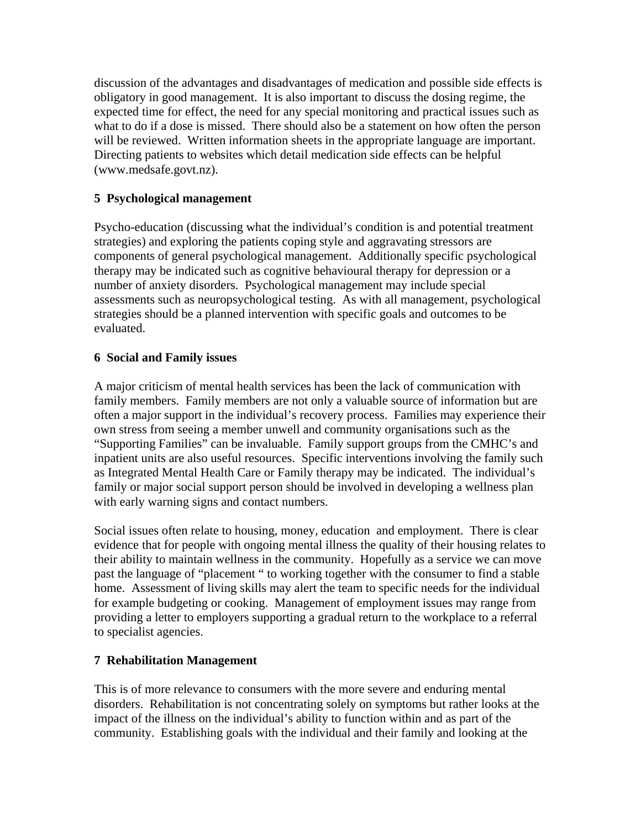discussion of the advantages and disadvantages of medication and possible side effects is obligatory in good management. It is also important to discuss the dosing regime, the expected time for effect, the need for any special monitoring and practical issues such as what to do if a dose is missed. There should also be a statement on how often the person will be reviewed. Written information sheets in the appropriate language are important. Directing patients to websites which detail medication side effects can be helpful (www.medsafe.govt.nz).

# **5 Psychological management**

Psycho-education (discussing what the individual's condition is and potential treatment strategies) and exploring the patients coping style and aggravating stressors are components of general psychological management. Additionally specific psychological therapy may be indicated such as cognitive behavioural therapy for depression or a number of anxiety disorders. Psychological management may include special assessments such as neuropsychological testing. As with all management, psychological strategies should be a planned intervention with specific goals and outcomes to be evaluated.

## **6 Social and Family issues**

A major criticism of mental health services has been the lack of communication with family members. Family members are not only a valuable source of information but are often a major support in the individual's recovery process. Families may experience their own stress from seeing a member unwell and community organisations such as the "Supporting Families" can be invaluable. Family support groups from the CMHC's and inpatient units are also useful resources. Specific interventions involving the family such as Integrated Mental Health Care or Family therapy may be indicated. The individual's family or major social support person should be involved in developing a wellness plan with early warning signs and contact numbers.

Social issues often relate to housing, money, education and employment. There is clear evidence that for people with ongoing mental illness the quality of their housing relates to their ability to maintain wellness in the community. Hopefully as a service we can move past the language of "placement " to working together with the consumer to find a stable home. Assessment of living skills may alert the team to specific needs for the individual for example budgeting or cooking. Management of employment issues may range from providing a letter to employers supporting a gradual return to the workplace to a referral to specialist agencies.

## **7 Rehabilitation Management**

This is of more relevance to consumers with the more severe and enduring mental disorders. Rehabilitation is not concentrating solely on symptoms but rather looks at the impact of the illness on the individual's ability to function within and as part of the community. Establishing goals with the individual and their family and looking at the